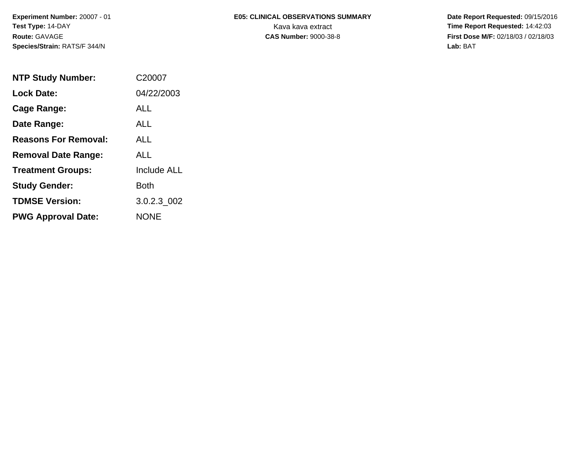# **E05: CLINICAL OBSERVATIONS SUMMARY**

 **Date Report Requested:** 09/15/2016 Kava kava extract **Time Report Requested:** 14:42:03 **First Dose M/F:** 02/18/03 / 02/18/03<br>Lab: BAT **Lab:** BAT

| <b>NTP Study Number:</b>    | C <sub>20007</sub> |
|-----------------------------|--------------------|
| <b>Lock Date:</b>           | 04/22/2003         |
| Cage Range:                 | ALL                |
| Date Range:                 | AI L               |
| <b>Reasons For Removal:</b> | AI I               |
| <b>Removal Date Range:</b>  | ALL                |
| <b>Treatment Groups:</b>    | <b>Include ALL</b> |
| <b>Study Gender:</b>        | Both               |
| <b>TDMSE Version:</b>       | 3.0.2.3 002        |
| <b>PWG Approval Date:</b>   | <b>NONE</b>        |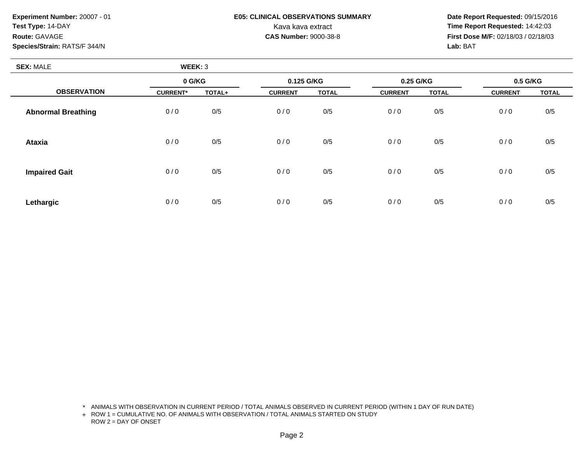## **E05: CLINICAL OBSERVATIONS SUMMARY**

 **Date Report Requested:** 09/15/2016 Kava kava extract **Time Report Requested:** 14:42:03<br>**CAS Number:** 9000-38-8 **Time Report Requested:** 14:42:03 **First Dose M/F:** 02/18/03 / 02/18/03<br>Lab: BAT **Lab:** BAT

| <b>SEX: MALE</b>          | WEEK: 3         |        |                |              |                |              |                |              |
|---------------------------|-----------------|--------|----------------|--------------|----------------|--------------|----------------|--------------|
|                           | 0 G/KG          |        | 0.125 G/KG     |              | 0.25 G/KG      |              | 0.5 G/KG       |              |
| <b>OBSERVATION</b>        | <b>CURRENT*</b> | TOTAL+ | <b>CURRENT</b> | <b>TOTAL</b> | <b>CURRENT</b> | <b>TOTAL</b> | <b>CURRENT</b> | <b>TOTAL</b> |
| <b>Abnormal Breathing</b> | 0/0             | 0/5    | 0/0            | 0/5          | 0/0            | 0/5          | 0/0            | $0/5$        |
| <b>Ataxia</b>             | 0/0             | 0/5    | 0/0            | 0/5          | 0/0            | 0/5          | 0/0            | 0/5          |
| <b>Impaired Gait</b>      | 0/0             | 0/5    | 0/0            | 0/5          | 0/0            | 0/5          | 0/0            | 0/5          |
| Lethargic                 | 0/0             | 0/5    | 0/0            | 0/5          | 0/0            | 0/5          | 0/0            | 0/5          |

\* ANIMALS WITH OBSERVATION IN CURRENT PERIOD / TOTAL ANIMALS OBSERVED IN CURRENT PERIOD (WITHIN 1 DAY OF RUN DATE)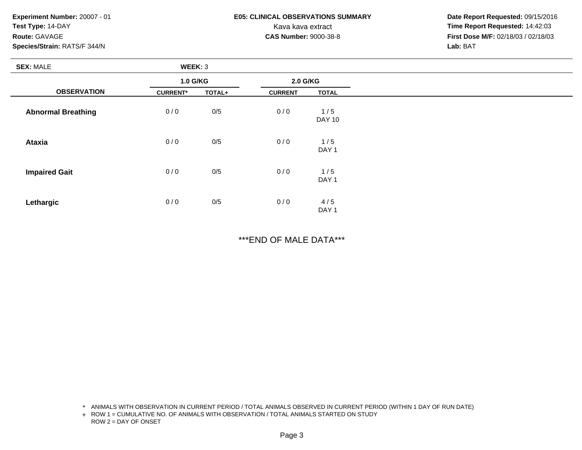### **E05: CLINICAL OBSERVATIONS SUMMARY**

 **Date Report Requested:** 09/15/2016 Kava kava extract **Time Report Requested:** 14:42:03<br>**CAS Number:** 9000-38-8 **Time Report Requested:** 14:42:03 **First Dose M/F:** 02/18/03 / 02/18/03<br>Lab: BAT **Lab:** BAT

| <b>SEX: MALE</b>          | WEEK: 3         |        |                |                         |
|---------------------------|-----------------|--------|----------------|-------------------------|
|                           | 1.0 G/KG        |        | 2.0 G/KG       |                         |
| <b>OBSERVATION</b>        | <b>CURRENT*</b> | TOTAL+ | <b>CURRENT</b> | <b>TOTAL</b>            |
| <b>Abnormal Breathing</b> | 0/0             | 0/5    | 0/0            | 1/5<br><b>DAY 10</b>    |
| <b>Ataxia</b>             | 0/0             | 0/5    | 0/0            | 1/5<br>DAY <sub>1</sub> |
| <b>Impaired Gait</b>      | 0/0             | 0/5    | 0/0            | 1/5<br>DAY <sub>1</sub> |
| Lethargic                 | 0/0             | 0/5    | 0/0            | 4/5<br>DAY <sub>1</sub> |

\*\*\*END OF MALE DATA\*\*\*

\* ANIMALS WITH OBSERVATION IN CURRENT PERIOD / TOTAL ANIMALS OBSERVED IN CURRENT PERIOD (WITHIN 1 DAY OF RUN DATE)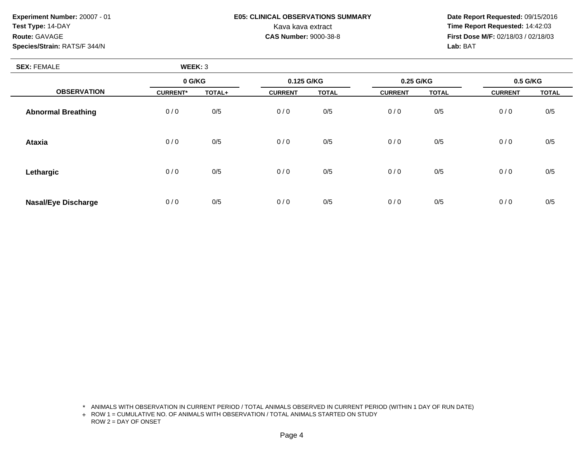### **E05: CLINICAL OBSERVATIONS SUMMARY**

 **Date Report Requested:** 09/15/2016 Kava kava extract **Time Report Requested:** 14:42:03<br>**CAS Number:** 9000-38-8 **Time Report Requested:** 14:42:03 **First Dose M/F:** 02/18/03 / 02/18/03<br>Lab: BAT **Lab:** BAT

| <b>SEX: FEMALE</b>         | WEEK: 3         |        |                |              |                |              |                |              |
|----------------------------|-----------------|--------|----------------|--------------|----------------|--------------|----------------|--------------|
|                            | 0 G/KG          |        | 0.125 G/KG     |              | 0.25 G/KG      |              | 0.5 G/KG       |              |
| <b>OBSERVATION</b>         | <b>CURRENT*</b> | TOTAL+ | <b>CURRENT</b> | <b>TOTAL</b> | <b>CURRENT</b> | <b>TOTAL</b> | <b>CURRENT</b> | <b>TOTAL</b> |
| <b>Abnormal Breathing</b>  | 0/0             | 0/5    | 0/0            | 0/5          | 0/0            | 0/5          | 0/0            | 0/5          |
| <b>Ataxia</b>              | 0/0             | 0/5    | 0/0            | 0/5          | 0/0            | 0/5          | 0/0            | 0/5          |
| Lethargic                  | 0/0             | 0/5    | 0/0            | 0/5          | 0/0            | 0/5          | 0/0            | 0/5          |
| <b>Nasal/Eye Discharge</b> | 0/0             | 0/5    | 0/0            | 0/5          | 0/0            | 0/5          | 0/0            | 0/5          |

\* ANIMALS WITH OBSERVATION IN CURRENT PERIOD / TOTAL ANIMALS OBSERVED IN CURRENT PERIOD (WITHIN 1 DAY OF RUN DATE)